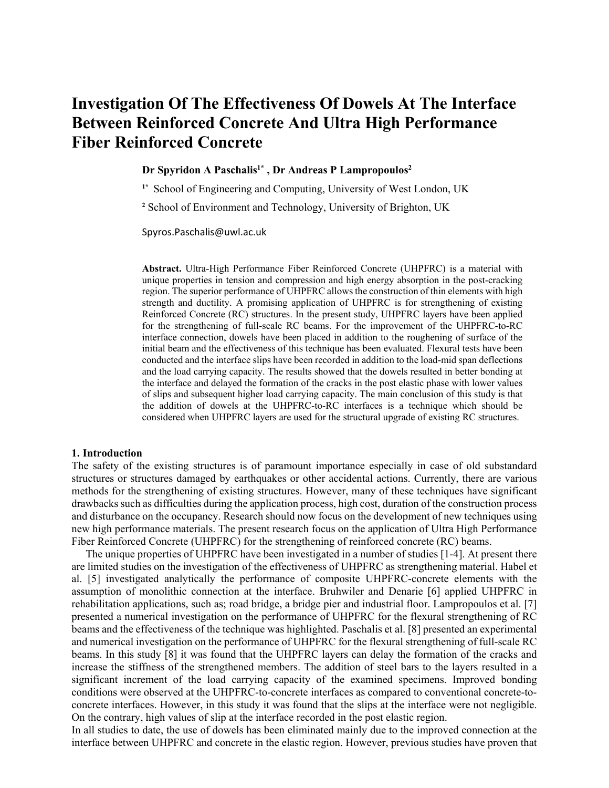# **Investigation Of The Effectiveness Of Dowels At The Interface Between Reinforced Concrete And Ultra High Performance Fiber Reinforced Concrete**

## **Dr Spyridon A Paschalis1\* , Dr Andreas P Lampropoulos2**

**1\*** School of Engineering and Computing, University of West London, UK

**<sup>2</sup>** School of Environment and Technology, University of Brighton, UK

Spyros.Paschalis@uwl.ac.uk

**Abstract.** Ultra-High Performance Fiber Reinforced Concrete (UHPFRC) is a material with unique properties in tension and compression and high energy absorption in the post-cracking region. The superior performance of UHPFRC allows the construction of thin elements with high strength and ductility. A promising application of UHPFRC is for strengthening of existing Reinforced Concrete (RC) structures. In the present study, UHPFRC layers have been applied for the strengthening of full-scale RC beams. For the improvement of the UHPFRC-to-RC interface connection, dowels have been placed in addition to the roughening of surface of the initial beam and the effectiveness of this technique has been evaluated. Flexural tests have been conducted and the interface slips have been recorded in addition to the load-mid span deflections and the load carrying capacity. The results showed that the dowels resulted in better bonding at the interface and delayed the formation of the cracks in the post elastic phase with lower values of slips and subsequent higher load carrying capacity. The main conclusion of this study is that the addition of dowels at the UHPFRC-to-RC interfaces is a technique which should be considered when UHPFRC layers are used for the structural upgrade of existing RC structures.

#### **1. Introduction**

The safety of the existing structures is of paramount importance especially in case of old substandard structures or structures damaged by earthquakes or other accidental actions. Currently, there are various methods for the strengthening of existing structures. However, many of these techniques have significant drawbacks such as difficulties during the application process, high cost, duration of the construction process and disturbance on the occupancy. Research should now focus on the development of new techniques using new high performance materials. The present research focus on the application of Ultra High Performance Fiber Reinforced Concrete (UHPFRC) for the strengthening of reinforced concrete (RC) beams.

The unique properties of UHPFRC have been investigated in a number of studies [1-4]. At present there are limited studies on the investigation of the effectiveness of UHPFRC as strengthening material. Habel et al. [5] investigated analytically the performance of composite UHPFRC-concrete elements with the assumption of monolithic connection at the interface. Bruhwiler and Denarie [6] applied UHPFRC in rehabilitation applications, such as; road bridge, a bridge pier and industrial floor. Lampropoulos et al. [7] presented a numerical investigation on the performance of UHPFRC for the flexural strengthening of RC beams and the effectiveness of the technique was highlighted. Paschalis et al. [8] presented an experimental and numerical investigation on the performance of UHPFRC for the flexural strengthening of full-scale RC beams. In this study [8] it was found that the UHPFRC layers can delay the formation of the cracks and increase the stiffness of the strengthened members. The addition of steel bars to the layers resulted in a significant increment of the load carrying capacity of the examined specimens. Improved bonding conditions were observed at the UHPFRC-to-concrete interfaces as compared to conventional concrete-toconcrete interfaces. However, in this study it was found that the slips at the interface were not negligible. On the contrary, high values of slip at the interface recorded in the post elastic region.

In all studies to date, the use of dowels has been eliminated mainly due to the improved connection at the interface between UHPFRC and concrete in the elastic region. However, previous studies have proven that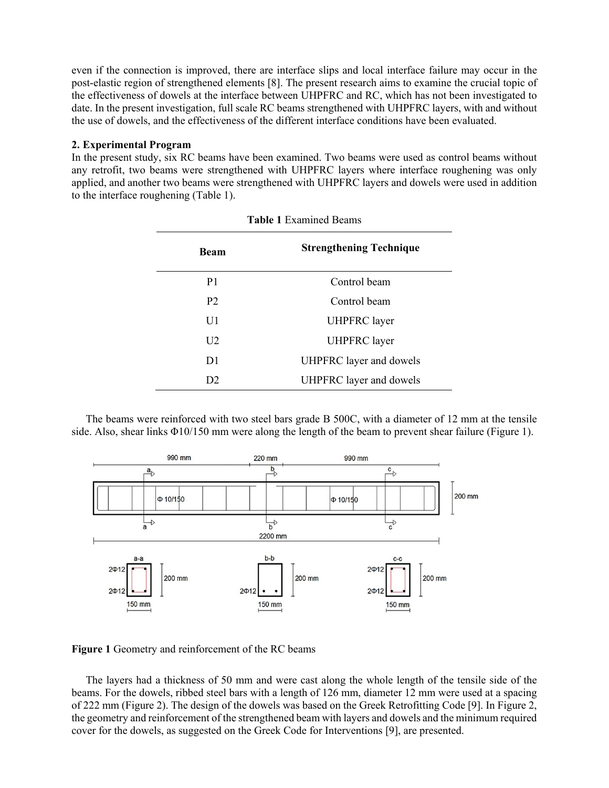even if the connection is improved, there are interface slips and local interface failure may occur in the post-elastic region of strengthened elements [8]. The present research aims to examine the crucial topic of the effectiveness of dowels at the interface between UHPFRC and RC, which has not been investigated to date. In the present investigation, full scale RC beams strengthened with UHPFRC layers, with and without the use of dowels, and the effectiveness of the different interface conditions have been evaluated.

## **2. Experimental Program**

In the present study, six RC beams have been examined. Two beams were used as control beams without any retrofit, two beams were strengthened with UHPFRC layers where interface roughening was only applied, and another two beams were strengthened with UHPFRC layers and dowels were used in addition to the interface roughening (Table 1).

| <b>Beam</b>    | <b>Strengthening Technique</b> |
|----------------|--------------------------------|
| P <sub>1</sub> | Control beam                   |
| <b>P2</b>      | Control beam                   |
| U1             | <b>UHPFRC</b> layer            |
| U <sub>2</sub> | <b>UHPFRC</b> layer            |
| D <sub>1</sub> | UHPFRC layer and dowels        |
| D <sub>2</sub> | UHPFRC layer and dowels        |

The beams were reinforced with two steel bars grade B 500C, with a diameter of 12 mm at the tensile side. Also, shear links Φ10/150 mm were along the length of the beam to prevent shear failure (Figure 1).



**Figure 1** Geometry and reinforcement of the RC beams

The layers had a thickness of 50 mm and were cast along the whole length of the tensile side of the beams. For the dowels, ribbed steel bars with a length of 126 mm, diameter 12 mm were used at a spacing of 222 mm (Figure 2). The design of the dowels was based on the Greek Retrofitting Code [9]. In Figure 2, the geometry and reinforcement of the strengthened beam with layers and dowels and the minimum required cover for the dowels, as suggested on the Greek Code for Interventions [9], are presented.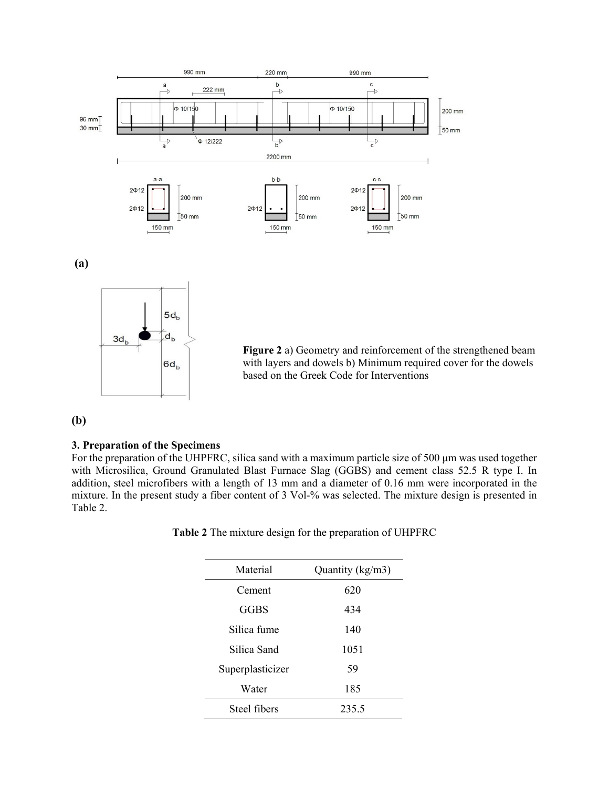

**Figure 2** a) Geometry and reinforcement of the strengthened beam with layers and dowels b) Minimum required cover for the dowels based on the Greek Code for Interventions

**(b)**

### **3. Preparation of the Specimens**

3d,

 $\overline{d}_{\mathsf{b}}$ 

 $6d<sub>b</sub>$ 

For the preparation of the UHPFRC, silica sand with a maximum particle size of 500 μm was used together with Microsilica, Ground Granulated Blast Furnace Slag (GGBS) and cement class 52.5 R type I. In addition, steel microfibers with a length of 13 mm and a diameter of 0.16 mm were incorporated in the mixture. In the present study a fiber content of 3 Vol-% was selected. The mixture design is presented in Table 2.

**Table 2** The mixture design for the preparation of UHPFRC

| Material         | Quantity (kg/m3) |  |  |
|------------------|------------------|--|--|
| Cement           | 620              |  |  |
| GGBS             | 434              |  |  |
| Silica fume      | 140              |  |  |
| Silica Sand      | 1051             |  |  |
| Superplasticizer | 59               |  |  |
| Water            | 185              |  |  |
| Steel fibers     | 235.5            |  |  |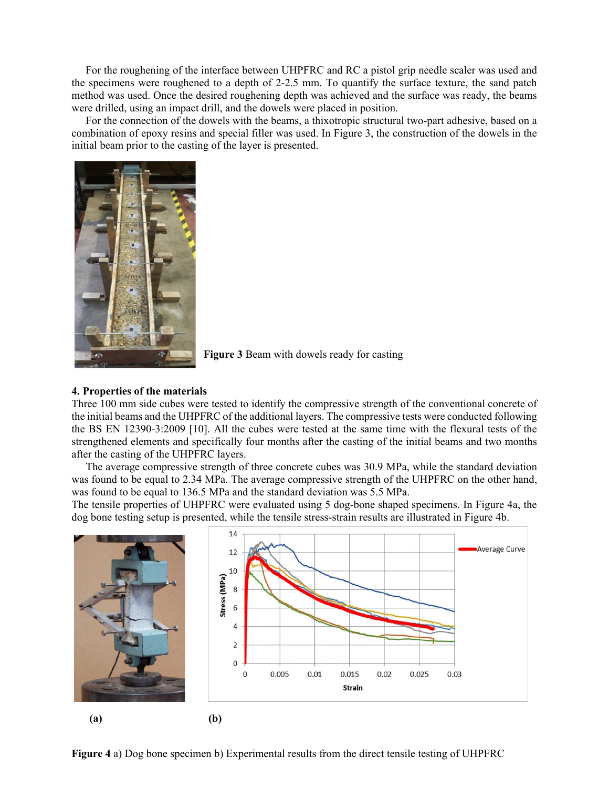For the roughening of the interface between UHPFRC and RC a pistol grip needle scaler was used and the specimens were roughened to a depth of 2-2.5 mm. To quantify the surface texture, the sand patch method was used. Once the desired roughening depth was achieved and the surface was ready, the beams were drilled, using an impact drill, and the dowels were placed in position.

For the connection of the dowels with the beams, a thixotropic structural two-part adhesive, based on a combination of epoxy resins and special filler was used. In Figure 3, the construction of the dowels in the initial beam prior to the casting of the layer is presented.



**Figure 3** Beam with dowels ready for casting

#### **4. Properties of the materials**

Three 100 mm side cubes were tested to identify the compressive strength of the conventional concrete of the initial beams and the UHPFRC of the additional layers. The compressive tests were conducted following the BS EN 12390-3:2009 [10]. All the cubes were tested at the same time with the flexural tests of the strengthened elements and specifically four months after the casting of the initial beams and two months after the casting of the UHPFRC layers.

The average compressive strength of three concrete cubes was 30.9 MPa, while the standard deviation was found to be equal to 2.34 MPa. The average compressive strength of the UHPFRC on the other hand, was found to be equal to 136.5 MPa and the standard deviation was 5.5 MPa.

The tensile properties of UHPFRC were evaluated using 5 dog-bone shaped specimens. In Figure 4a, the dog bone testing setup is presented, while the tensile stress-strain results are illustrated in Figure 4b.



**Figure 4** a) Dog bone specimen b) Experimental results from the direct tensile testing of UHPFRC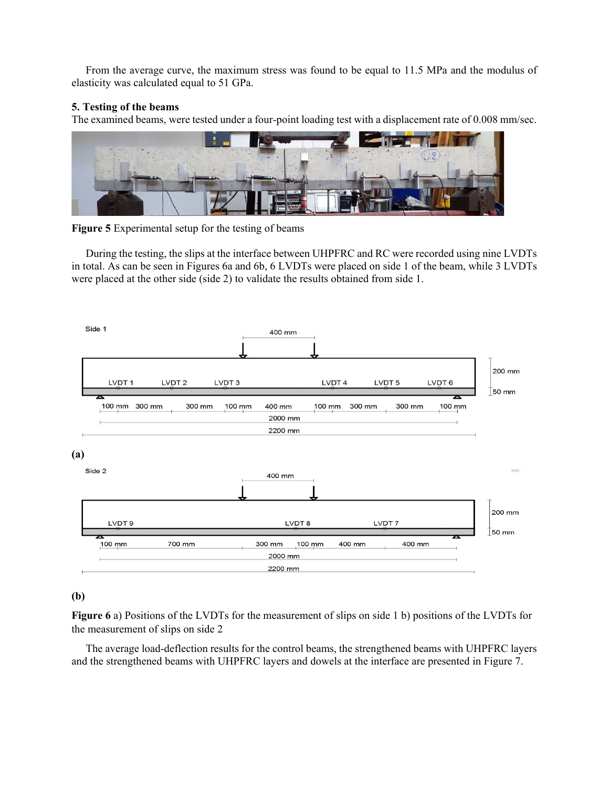From the average curve, the maximum stress was found to be equal to 11.5 MPa and the modulus of elasticity was calculated equal to 51 GPa.

## **5. Testing of the beams**

The examined beams, were tested under a four-point loading test with a displacement rate of 0.008 mm/sec.





During the testing, the slips at the interface between UHPFRC and RC were recorded using nine LVDTs in total. As can be seen in Figures 6a and 6b, 6 LVDTs were placed on side 1 of the beam, while 3 LVDTs were placed at the other side (side 2) to validate the results obtained from side 1.



## **(b)**

**Figure 6** a) Positions of the LVDTs for the measurement of slips on side 1 b) positions of the LVDTs for the measurement of slips on side 2

The average load-deflection results for the control beams, the strengthened beams with UHPFRC layers and the strengthened beams with UHPFRC layers and dowels at the interface are presented in Figure 7.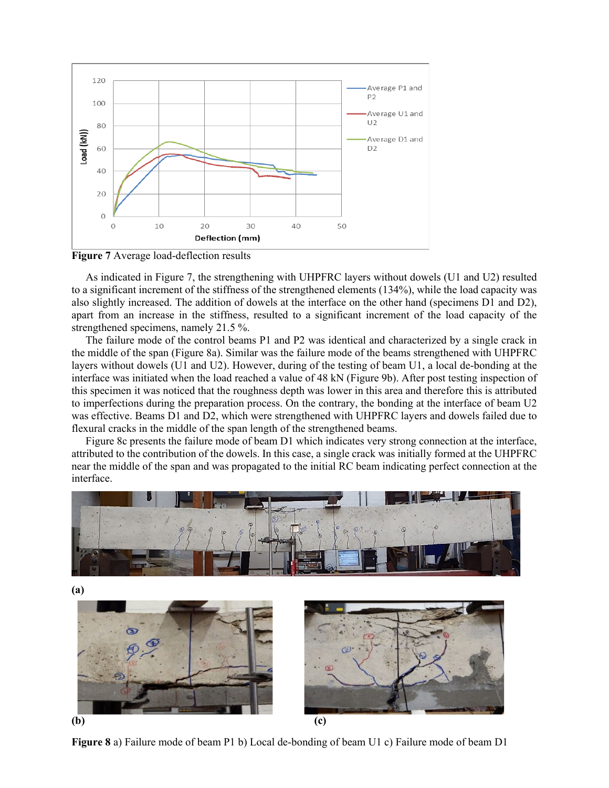

**Figure 7** Average load-deflection results

As indicated in Figure 7, the strengthening with UHPFRC layers without dowels (U1 and U2) resulted to a significant increment of the stiffness of the strengthened elements (134%), while the load capacity was also slightly increased. The addition of dowels at the interface on the other hand (specimens D1 and D2), apart from an increase in the stiffness, resulted to a significant increment of the load capacity of the strengthened specimens, namely 21.5 %.

The failure mode of the control beams P1 and P2 was identical and characterized by a single crack in the middle of the span (Figure 8a). Similar was the failure mode of the beams strengthened with UHPFRC layers without dowels (U1 and U2). However, during of the testing of beam U1, a local de-bonding at the interface was initiated when the load reached a value of 48 kN (Figure 9b). After post testing inspection of this specimen it was noticed that the roughness depth was lower in this area and therefore this is attributed to imperfections during the preparation process. On the contrary, the bonding at the interface of beam U2 was effective. Beams D1 and D2, which were strengthened with UHPFRC layers and dowels failed due to flexural cracks in the middle of the span length of the strengthened beams.

Figure 8c presents the failure mode of beam D1 which indicates very strong connection at the interface, attributed to the contribution of the dowels. In this case, a single crack was initially formed at the UHPFRC near the middle of the span and was propagated to the initial RC beam indicating perfect connection at the interface.



**Figure 8** a) Failure mode of beam P1 b) Local de-bonding of beam U1 c) Failure mode of beam D1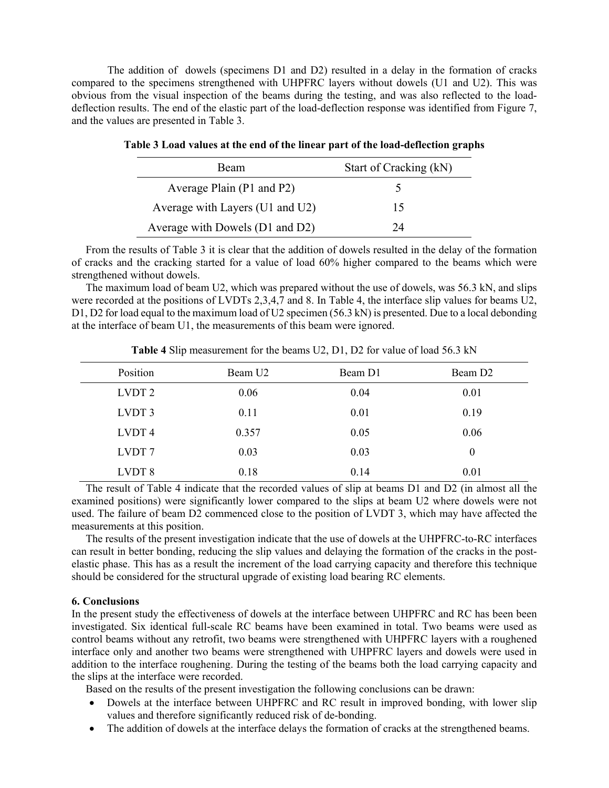The addition of dowels (specimens D1 and D2) resulted in a delay in the formation of cracks compared to the specimens strengthened with UHPFRC layers without dowels (U1 and U2). This was obvious from the visual inspection of the beams during the testing, and was also reflected to the loaddeflection results. The end of the elastic part of the load-deflection response was identified from Figure 7, and the values are presented in Table 3.

| <b>Beam</b>                     | Start of Cracking (kN) |
|---------------------------------|------------------------|
| Average Plain (P1 and P2)       |                        |
| Average with Layers (U1 and U2) | 15                     |
| Average with Dowels (D1 and D2) | 7Δ                     |

|  |  | Table 3 Load values at the end of the linear part of the load-deflection graphs |  |  |
|--|--|---------------------------------------------------------------------------------|--|--|
|  |  |                                                                                 |  |  |

From the results of Table 3 it is clear that the addition of dowels resulted in the delay of the formation of cracks and the cracking started for a value of load 60% higher compared to the beams which were strengthened without dowels.

The maximum load of beam U2, which was prepared without the use of dowels, was 56.3 kN, and slips were recorded at the positions of LVDTs 2,3,4,7 and 8. In Table 4, the interface slip values for beams U2, D1, D2 for load equal to the maximum load of U2 specimen (56.3 kN) is presented. Due to a local debonding at the interface of beam U1, the measurements of this beam were ignored.

| Position          | Beam U <sub>2</sub> | Beam D1 | Beam D <sub>2</sub> |
|-------------------|---------------------|---------|---------------------|
| LVDT <sub>2</sub> | 0.06                | 0.04    | 0.01                |
| LVDT <sub>3</sub> | 0.11                | 0.01    | 0.19                |
| LVDT <sub>4</sub> | 0.357               | 0.05    | 0.06                |
| LVDT <sub>7</sub> | 0.03                | 0.03    | $\theta$            |
| LVDT <sub>8</sub> | 0.18                | 0.14    | 0.01                |

**Table 4** Slip measurement for the beams U2, D1, D2 for value of load 56.3 kN

The result of Table 4 indicate that the recorded values of slip at beams D1 and D2 (in almost all the examined positions) were significantly lower compared to the slips at beam U2 where dowels were not used. The failure of beam D2 commenced close to the position of LVDT 3, which may have affected the measurements at this position.

The results of the present investigation indicate that the use of dowels at the UHPFRC-to-RC interfaces can result in better bonding, reducing the slip values and delaying the formation of the cracks in the postelastic phase. This has as a result the increment of the load carrying capacity and therefore this technique should be considered for the structural upgrade of existing load bearing RC elements.

## **6. Conclusions**

In the present study the effectiveness of dowels at the interface between UHPFRC and RC has been been investigated. Six identical full-scale RC beams have been examined in total. Two beams were used as control beams without any retrofit, two beams were strengthened with UHPFRC layers with a roughened interface only and another two beams were strengthened with UHPFRC layers and dowels were used in addition to the interface roughening. During the testing of the beams both the load carrying capacity and the slips at the interface were recorded.

Based on the results of the present investigation the following conclusions can be drawn:

- Dowels at the interface between UHPFRC and RC result in improved bonding, with lower slip values and therefore significantly reduced risk of de-bonding.
- The addition of dowels at the interface delays the formation of cracks at the strengthened beams.